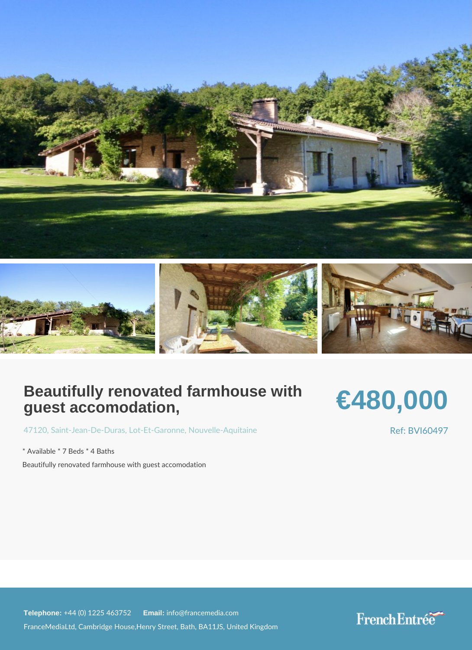## Beautifully renovated farmhouse with guest accomodation,

## €480,000

[4712](https://www.frenchentree.com/property-for-sale/property-for-sale-france/47120-xx-saint-jean-de-duras-xx-lot-et-garonne-xx-nouvelle-aquitaine)[, Saint-Jean-D](https://www.frenchentree.com/property-for-sale/property-for-sale-france/47120-xx-saint-jean-de-duras-xx-lot-et-garonne-xx-nouvelle-aquitaine)eL-Dtur Eats Gardonne elle-Aquitaine

\* Available \* 7 Beds \* 4 Baths Beautifully renovated farmhouse with guest accomodation Ref: BVI60497

Telephone: +44 (0) 1225 46E3m7affi 2info@francemedia.com FranceMediaLtd, Cambridge House,Henry Street, Bath, BA11JS, United Kingdom